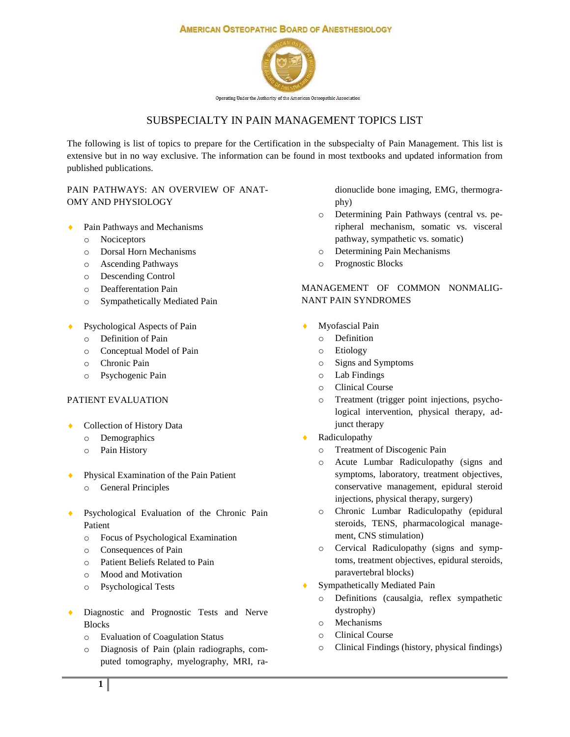#### **AMERICAN OSTEOPATHIC BOARD OF ANESTHESIOLOGY**



Operating Under the Authority of the American Osteopathic Association

# SUBSPECIALTY IN PAIN MANAGEMENT TOPICS LIST

The following is list of topics to prepare for the Certification in the subspecialty of Pain Management. This list is extensive but in no way exclusive. The information can be found in most textbooks and updated information from published publications.

### PAIN PATHWAYS: AN OVERVIEW OF ANAT-OMY AND PHYSIOLOGY

- Pain Pathways and Mechanisms
	- o Nociceptors
	- o Dorsal Horn Mechanisms
	- o Ascending Pathways
	- o Descending Control
	- o Deafferentation Pain
	- o Sympathetically Mediated Pain
- Psychological Aspects of Pain
	- o Definition of Pain
	- o Conceptual Model of Pain
	- o Chronic Pain
	- o Psychogenic Pain

### PATIENT EVALUATION

- Collection of History Data
	- o Demographics
	- o Pain History
- Physical Examination of the Pain Patient
	- o General Principles
- ◆ Psychological Evaluation of the Chronic Pain Patient
	- o Focus of Psychological Examination
	- o Consequences of Pain
	- o Patient Beliefs Related to Pain
	- o Mood and Motivation
	- o Psychological Tests
- Diagnostic and Prognostic Tests and Nerve Blocks
	- o Evaluation of Coagulation Status
	- o Diagnosis of Pain (plain radiographs, computed tomography, myelography, MRI, ra-

dionuclide bone imaging, EMG, thermography)

- o Determining Pain Pathways (central vs. peripheral mechanism, somatic vs. visceral pathway, sympathetic vs. somatic)
- o Determining Pain Mechanisms
- o Prognostic Blocks

# MANAGEMENT OF COMMON NONMALIG-NANT PAIN SYNDROMES

- Myofascial Pain
	- o Definition
	- o Etiology
	- o Signs and Symptoms
	- o Lab Findings
	- o Clinical Course
	- o Treatment (trigger point injections, psychological intervention, physical therapy, adjunct therapy
- Radiculopathy
	- Treatment of Discogenic Pain
	- o Acute Lumbar Radiculopathy (signs and symptoms, laboratory, treatment objectives, conservative management, epidural steroid injections, physical therapy, surgery)
	- o Chronic Lumbar Radiculopathy (epidural steroids, TENS, pharmacological management, CNS stimulation)
	- o Cervical Radiculopathy (signs and symptoms, treatment objectives, epidural steroids, paravertebral blocks)
- Sympathetically Mediated Pain
	- o Definitions (causalgia, reflex sympathetic dystrophy)
	- o Mechanisms
	- o Clinical Course
	- o Clinical Findings (history, physical findings)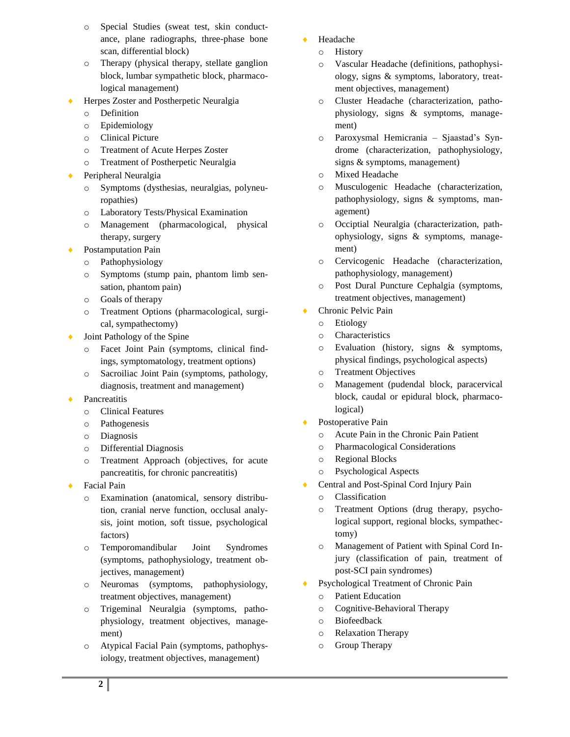- Special Studies (sweat test, skin conductance, plane radiographs, three-phase bone scan, differential block)
- o Therapy (physical therapy, stellate ganglion block, lumbar sympathetic block, pharmacological management)
- Herpes Zoster and Postherpetic Neuralgia
	- o Definition
	- o Epidemiology
	- o Clinical Picture
	- o Treatment of Acute Herpes Zoster
	- o Treatment of Postherpetic Neuralgia
- Peripheral Neuralgia
	- o Symptoms (dysthesias, neuralgias, polyneuropathies)
	- o Laboratory Tests/Physical Examination
	- o Management (pharmacological, physical therapy, surgery
- Postamputation Pain
	- o Pathophysiology
	- o Symptoms (stump pain, phantom limb sensation, phantom pain)
	- o Goals of therapy
	- o Treatment Options (pharmacological, surgical, sympathectomy)
- Joint Pathology of the Spine
	- o Facet Joint Pain (symptoms, clinical findings, symptomatology, treatment options)
	- o Sacroiliac Joint Pain (symptoms, pathology, diagnosis, treatment and management)
- Pancreatitis
	- o Clinical Features
	- o Pathogenesis
	- o Diagnosis
	- o Differential Diagnosis
	- o Treatment Approach (objectives, for acute pancreatitis, for chronic pancreatitis)
- Facial Pain
	- Examination (anatomical, sensory distribution, cranial nerve function, occlusal analysis, joint motion, soft tissue, psychological factors)
	- o Temporomandibular Joint Syndromes (symptoms, pathophysiology, treatment objectives, management)
	- o Neuromas (symptoms, pathophysiology, treatment objectives, management)
	- o Trigeminal Neuralgia (symptoms, pathophysiology, treatment objectives, management)
	- o Atypical Facial Pain (symptoms, pathophysiology, treatment objectives, management)
- Headache
	- o History
	- o Vascular Headache (definitions, pathophysiology, signs & symptoms, laboratory, treatment objectives, management)
	- o Cluster Headache (characterization, pathophysiology, signs & symptoms, management)
	- o Paroxysmal Hemicrania Sjaastad's Syndrome (characterization, pathophysiology, signs & symptoms, management)
	- o Mixed Headache
	- o Musculogenic Headache (characterization, pathophysiology, signs & symptoms, management)
	- o Occiptial Neuralgia (characterization, pathophysiology, signs & symptoms, management)
	- o Cervicogenic Headache (characterization, pathophysiology, management)
	- o Post Dural Puncture Cephalgia (symptoms, treatment objectives, management)
- ◆ Chronic Pelvic Pain
	- o Etiology
	- o Characteristics
	- o Evaluation (history, signs & symptoms, physical findings, psychological aspects)
	- o Treatment Objectives
	- o Management (pudendal block, paracervical block, caudal or epidural block, pharmacological)
- Postoperative Pain
	- o Acute Pain in the Chronic Pain Patient
	- o Pharmacological Considerations
	- o Regional Blocks
	- o Psychological Aspects
- ◆ Central and Post-Spinal Cord Injury Pain
	- o Classification
	- o Treatment Options (drug therapy, psychological support, regional blocks, sympathectomy)
	- o Management of Patient with Spinal Cord Injury (classification of pain, treatment of post-SCI pain syndromes)
- ◆ Psychological Treatment of Chronic Pain
	- o Patient Education
	- o Cognitive-Behavioral Therapy
	- o Biofeedback
	- o Relaxation Therapy
	- o Group Therapy